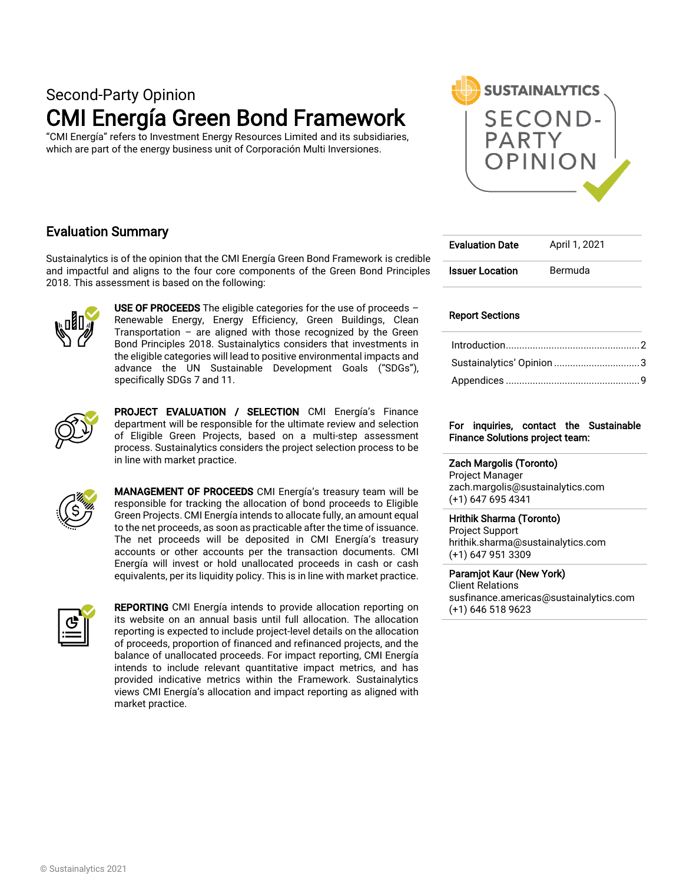# Second-Party Opinion CMI Energía Green Bond Framework

"CMI Energía" refers to Investment Energy Resources Limited and its subsidiaries, which are part of the energy business unit of Corporación Multi Inversiones.



## Evaluation Summary

Sustainalytics is of the opinion that the CMI Energía Green Bond Framework is credible and impactful and aligns to the four core components of the Green Bond Principles 2018. This assessment is based on the following:



USE OF PROCEEDS The eligible categories for the use of proceeds  $-$ Renewable Energy, Energy Efficiency, Green Buildings, Clean Transportation – are aligned with those recognized by the Green Bond Principles 2018. Sustainalytics considers that investments in the eligible categories will lead to positive environmental impacts and advance the UN Sustainable Development Goals ("SDGs"), specifically SDGs 7 and 11.



PROJECT EVALUATION / SELECTION CMI Energía's Finance department will be responsible for the ultimate review and selection of Eligible Green Projects, based on a multi-step assessment process. Sustainalytics considers the project selection process to be in line with market practice.



MANAGEMENT OF PROCEEDS CMI Energía's treasury team will be responsible for tracking the allocation of bond proceeds to Eligible Green Projects. CMI Energía intends to allocate fully, an amount equal to the net proceeds, as soon as practicable after the time of issuance. The net proceeds will be deposited in CMI Energía's treasury accounts or other accounts per the transaction documents. CMI Energía will invest or hold unallocated proceeds in cash or cash equivalents, per its liquidity policy. This is in line with market practice.



REPORTING CMI Energía intends to provide allocation reporting on its website on an annual basis until full allocation. The allocation reporting is expected to include project-level details on the allocation of proceeds, proportion of financed and refinanced projects, and the balance of unallocated proceeds. For impact reporting, CMI Energía intends to include relevant quantitative impact metrics, and has provided indicative metrics within the Framework. Sustainalytics views CMI Energía's allocation and impact reporting as aligned with market practice.

| <b>Evaluation Date</b> | April 1, 2021 |
|------------------------|---------------|
| <b>Issuer Location</b> | Bermuda       |

#### Report Sections

| Sustainalytics' Opinion 3 |  |
|---------------------------|--|
|                           |  |

#### For inquiries, contact the Sustainable Finance Solutions project team:

#### Zach Margolis (Toronto)

Project Manager zach.margolis@sustainalytics.com (+1) 647 695 4341

#### Hrithik Sharma (Toronto)

Project Support hrithik.sharma@sustainalytics.com (+1) 647 951 3309

Paramjot Kaur (New York) Client Relations susfinance.americas@sustainalytics.com (+1) 646 518 9623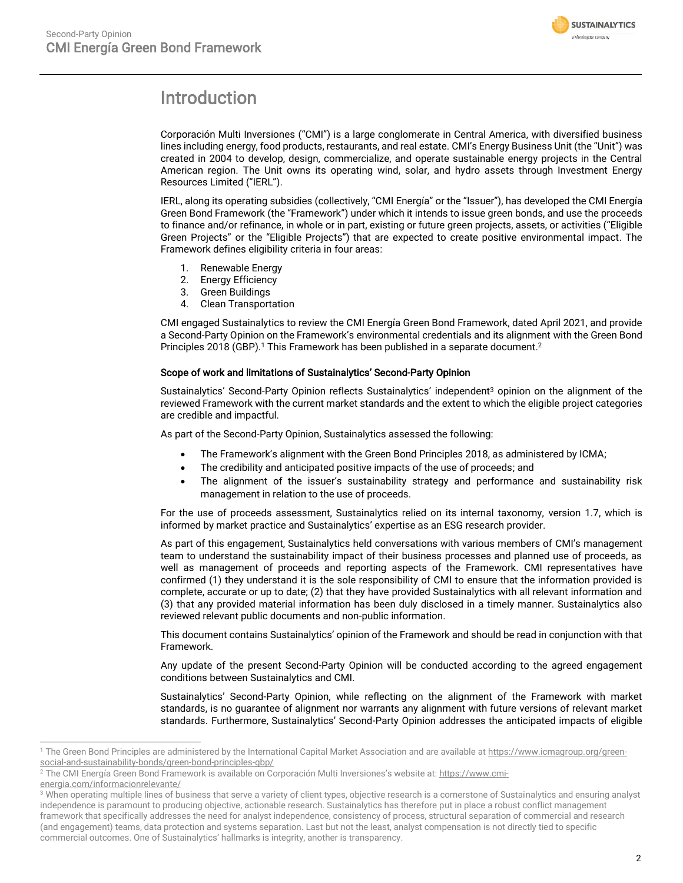

# <span id="page-1-0"></span>Introduction

Corporación Multi Inversiones ("CMI") is a large conglomerate in Central America, with diversified business lines including energy, food products, restaurants, and real estate. CMI's Energy Business Unit (the "Unit") was created in 2004 to develop, design, commercialize, and operate sustainable energy projects in the Central American region. The Unit owns its operating wind, solar, and hydro assets through Investment Energy Resources Limited ("IERL").

IERL, along its operating subsidies (collectively, "CMI Energía" or the "Issuer"), has developed the CMI Energía Green Bond Framework (the "Framework") under which it intends to issue green bonds, and use the proceeds to finance and/or refinance, in whole or in part, existing or future green projects, assets, or activities ("Eligible Green Projects" or the "Eligible Projects") that are expected to create positive environmental impact. The Framework defines eligibility criteria in four areas:

- 1. Renewable Energy
- 2. Energy Efficiency
- 3. Green Buildings
- 4. Clean Transportation

CMI engaged Sustainalytics to review the CMI Energía Green Bond Framework, dated April 2021, and provide a Second-Party Opinion on the Framework's environmental credentials and its alignment with the Green Bond Principles 2018 (GBP).<sup>1</sup> This Framework has been published in a separate document.<sup>2</sup>

#### Scope of work and limitations of Sustainalytics' Second-Party Opinion

Sustainalytics' Second-Party Opinion reflects Sustainalytics' independent<sup>3</sup> opinion on the alignment of the reviewed Framework with the current market standards and the extent to which the eligible project categories are credible and impactful.

As part of the Second-Party Opinion, Sustainalytics assessed the following:

- The Framework's alignment with the Green Bond Principles 2018, as administered by ICMA;
- The credibility and anticipated positive impacts of the use of proceeds; and
- The alignment of the issuer's sustainability strategy and performance and sustainability risk management in relation to the use of proceeds.

For the use of proceeds assessment, Sustainalytics relied on its internal taxonomy, version 1.7, which is informed by market practice and Sustainalytics' expertise as an ESG research provider.

As part of this engagement, Sustainalytics held conversations with various members of CMI's management team to understand the sustainability impact of their business processes and planned use of proceeds, as well as management of proceeds and reporting aspects of the Framework. CMI representatives have confirmed (1) they understand it is the sole responsibility of CMI to ensure that the information provided is complete, accurate or up to date; (2) that they have provided Sustainalytics with all relevant information and (3) that any provided material information has been duly disclosed in a timely manner. Sustainalytics also reviewed relevant public documents and non-public information.

This document contains Sustainalytics' opinion of the Framework and should be read in conjunction with that Framework.

Any update of the present Second-Party Opinion will be conducted according to the agreed engagement conditions between Sustainalytics and CMI.

Sustainalytics' Second-Party Opinion, while reflecting on the alignment of the Framework with market standards, is no guarantee of alignment nor warrants any alignment with future versions of relevant market standards. Furthermore, Sustainalytics' Second-Party Opinion addresses the anticipated impacts of eligible

[energia.com/informacionrelevante/](https://www.cmi-energia.com/informacionrelevante/)

<sup>&</sup>lt;sup>1</sup> The Green Bond Principles are administered by the International Capital Market Association and are available a[t https://www.icmagroup.org/green](https://www.icmagroup.org/green-social-and-sustainability-bonds/green-bond-principles-gbp/)[social-and-sustainability-bonds/green-bond-principles-gbp/](https://www.icmagroup.org/green-social-and-sustainability-bonds/green-bond-principles-gbp/)

<sup>&</sup>lt;sup>2</sup> The CMI Energía Green Bond Framework is available on Corporación Multi Inversiones's website at: [https://www.cmi-](https://www.cmi-energia.com/informacionrelevante/)

<sup>&</sup>lt;sup>3</sup> When operating multiple lines of business that serve a variety of client types, objective research is a cornerstone of Sustainalytics and ensuring analyst independence is paramount to producing objective, actionable research. Sustainalytics has therefore put in place a robust conflict management framework that specifically addresses the need for analyst independence, consistency of process, structural separation of commercial and research (and engagement) teams, data protection and systems separation. Last but not the least, analyst compensation is not directly tied to specific commercial outcomes. One of Sustainalytics' hallmarks is integrity, another is transparency.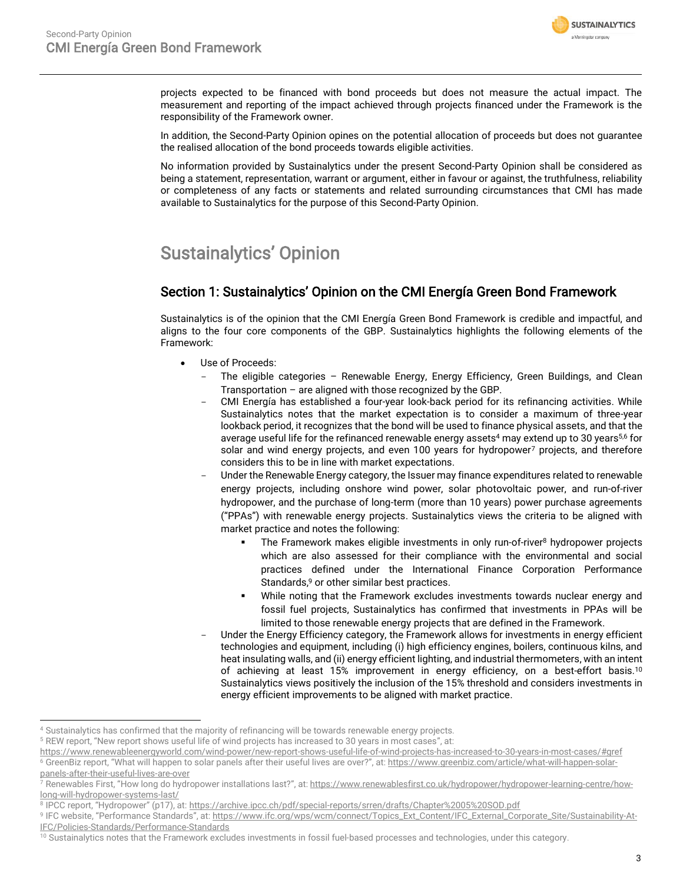

projects expected to be financed with bond proceeds but does not measure the actual impact. The measurement and reporting of the impact achieved through projects financed under the Framework is the responsibility of the Framework owner.

In addition, the Second-Party Opinion opines on the potential allocation of proceeds but does not guarantee the realised allocation of the bond proceeds towards eligible activities.

No information provided by Sustainalytics under the present Second-Party Opinion shall be considered as being a statement, representation, warrant or argument, either in favour or against, the truthfulness, reliability or completeness of any facts or statements and related surrounding circumstances that CMI has made available to Sustainalytics for the purpose of this Second-Party Opinion.

# <span id="page-2-0"></span>Sustainalytics' Opinion

## Section 1: Sustainalytics' Opinion on the CMI Energía Green Bond Framework

Sustainalytics is of the opinion that the CMI Energía Green Bond Framework is credible and impactful, and aligns to the four core components of the GBP. Sustainalytics highlights the following elements of the Framework:

- Use of Proceeds:
	- The eligible categories Renewable Energy, Energy Efficiency, Green Buildings, and Clean Transportation – are aligned with those recognized by the GBP.
	- CMI Energía has established a four-year look-back period for its refinancing activities. While Sustainalytics notes that the market expectation is to consider a maximum of three-year lookback period, it recognizes that the bond will be used to finance physical assets, and that the average useful life for the refinanced renewable energy assets<sup>4</sup> may extend up to 30 years<sup>5,6</sup> for solar and wind energy projects, and even 100 years for hydropower<sup>7</sup> projects, and therefore considers this to be in line with market expectations.
	- Under the Renewable Energy category, the Issuer may finance expenditures related to renewable energy projects, including onshore wind power, solar photovoltaic power, and run-of-river hydropower, and the purchase of long-term (more than 10 years) power purchase agreements ("PPAs") with renewable energy projects. Sustainalytics views the criteria to be aligned with market practice and notes the following:
		- **•** The Framework makes eligible investments in only run-of-river<sup>8</sup> hydropower projects which are also assessed for their compliance with the environmental and social practices defined under the International Finance Corporation Performance Standards, <sup>9</sup> or other similar best practices.
		- While noting that the Framework excludes investments towards nuclear energy and fossil fuel projects, Sustainalytics has confirmed that investments in PPAs will be limited to those renewable energy projects that are defined in the Framework.
	- Under the Energy Efficiency category, the Framework allows for investments in energy efficient technologies and equipment, including (i) high efficiency engines, boilers, continuous kilns, and heat insulating walls, and (ii) energy efficient lighting, and industrial thermometers, with an intent of achieving at least 15% improvement in energy efficiency, on a best-effort basis.<sup>10</sup> Sustainalytics views positively the inclusion of the 15% threshold and considers investments in energy efficient improvements to be aligned with market practice.

<sup>4</sup> Sustainalytics has confirmed that the majority of refinancing will be towards renewable energy projects.

<sup>5</sup> REW report, "New report shows useful life of wind projects has increased to 30 years in most cases", at:

<https://www.renewableenergyworld.com/wind-power/new-report-shows-useful-life-of-wind-projects-has-increased-to-30-years-in-most-cases/#gref> <sup>6</sup> GreenBiz report, "What will happen to solar panels after their useful lives are over?", at: [https://www.greenbiz.com/article/what-will-happen-solar](https://www.greenbiz.com/article/what-will-happen-solar-panels-after-their-useful-lives-are-over)[panels-after-their-useful-lives-are-over](https://www.greenbiz.com/article/what-will-happen-solar-panels-after-their-useful-lives-are-over)

<sup>&</sup>lt;sup>7</sup> Renewables First, "How long do hydropower installations last?", at: <u>https://www.renewablesfirst.co.uk/hydropower/hydropower-learning-centre/how-</u> [long-will-hydropower-systems-last/](https://www.renewablesfirst.co.uk/hydropower/hydropower-learning-centre/how-long-will-hydropower-systems-last/)

<sup>&</sup>lt;sup>8</sup> IPCC report, "Hydropower" (p17), at: <u><https://archive.ipcc.ch/pdf/special-reports/srren/drafts/Chapter%2005%20SOD.pdf></u>

<sup>&</sup>lt;sup>9</sup> IFC website, "Performance Standards", at: <u>https://www.ifc.org/wps/wcm/connect/Topics\_Ext\_Content/IFC\_External\_Corporate\_Site/Sustainability-At-</u> [IFC/Policies-Standards/Performance-Standards](https://www.ifc.org/wps/wcm/connect/Topics_Ext_Content/IFC_External_Corporate_Site/Sustainability-At-IFC/Policies-Standards/Performance-Standards)

 $10$  Sustainalytics notes that the Framework excludes investments in fossil fuel-based processes and technologies, under this category.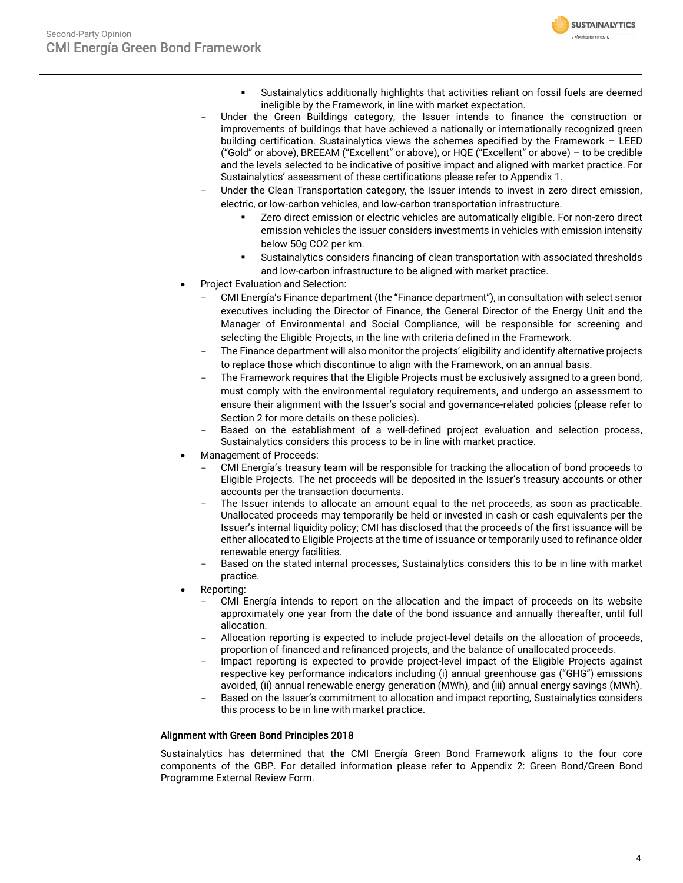

- Sustainalytics additionally highlights that activities reliant on fossil fuels are deemed ineligible by the Framework, in line with market expectation.
- Under the Green Buildings category, the Issuer intends to finance the construction or improvements of buildings that have achieved a nationally or internationally recognized green building certification. Sustainalytics views the schemes specified by the Framework – LEED ("Gold" or above), BREEAM ("Excellent" or above), or HQE ("Excellent" or above) – to be credible and the levels selected to be indicative of positive impact and aligned with market practice. For Sustainalytics' assessment of these certifications please refer to Appendix 1.
- Under the Clean Transportation category, the Issuer intends to invest in zero direct emission, electric, or low-carbon vehicles, and low-carbon transportation infrastructure.
	- Zero direct emission or electric vehicles are automatically eligible. For non-zero direct emission vehicles the issuer considers investments in vehicles with emission intensity below 50g CO2 per km.
	- Sustainalytics considers financing of clean transportation with associated thresholds and low-carbon infrastructure to be aligned with market practice.
- Project Evaluation and Selection:
	- CMI Energía's Finance department (the "Finance department"), in consultation with select senior executives including the Director of Finance, the General Director of the Energy Unit and the Manager of Environmental and Social Compliance, will be responsible for screening and selecting the Eligible Projects, in the line with criteria defined in the Framework.
	- The Finance department will also monitor the projects' eligibility and identify alternative projects to replace those which discontinue to align with the Framework, on an annual basis.
	- The Framework requires that the Eligible Projects must be exclusively assigned to a green bond, must comply with the environmental regulatory requirements, and undergo an assessment to ensure their alignment with the Issuer's social and governance-related policies (please refer to Section 2 for more details on these policies).
	- Based on the establishment of a well-defined project evaluation and selection process, Sustainalytics considers this process to be in line with market practice.
- Management of Proceeds:
	- CMI Energía's treasury team will be responsible for tracking the allocation of bond proceeds to Eligible Projects. The net proceeds will be deposited in the Issuer's treasury accounts or other accounts per the transaction documents.
	- The Issuer intends to allocate an amount equal to the net proceeds, as soon as practicable. Unallocated proceeds may temporarily be held or invested in cash or cash equivalents per the Issuer's internal liquidity policy; CMI has disclosed that the proceeds of the first issuance will be either allocated to Eligible Projects at the time of issuance or temporarily used to refinance older renewable energy facilities.
	- Based on the stated internal processes, Sustainalytics considers this to be in line with market practice.
- Reporting:
	- CMI Energía intends to report on the allocation and the impact of proceeds on its website approximately one year from the date of the bond issuance and annually thereafter, until full allocation.
	- Allocation reporting is expected to include project-level details on the allocation of proceeds, proportion of financed and refinanced projects, and the balance of unallocated proceeds.
	- Impact reporting is expected to provide project-level impact of the Eligible Projects against respective key performance indicators including (i) annual greenhouse gas ("GHG") emissions avoided, (ii) annual renewable energy generation (MWh), and (iii) annual energy savings (MWh).
	- Based on the Issuer's commitment to allocation and impact reporting, Sustainalytics considers this process to be in line with market practice.

#### Alignment with Green Bond Principles 2018

Sustainalytics has determined that the CMI Energía Green Bond Framework aligns to the four core components of the GBP. For detailed information please refer to Appendix 2: Green Bond/Green Bond Programme External Review Form.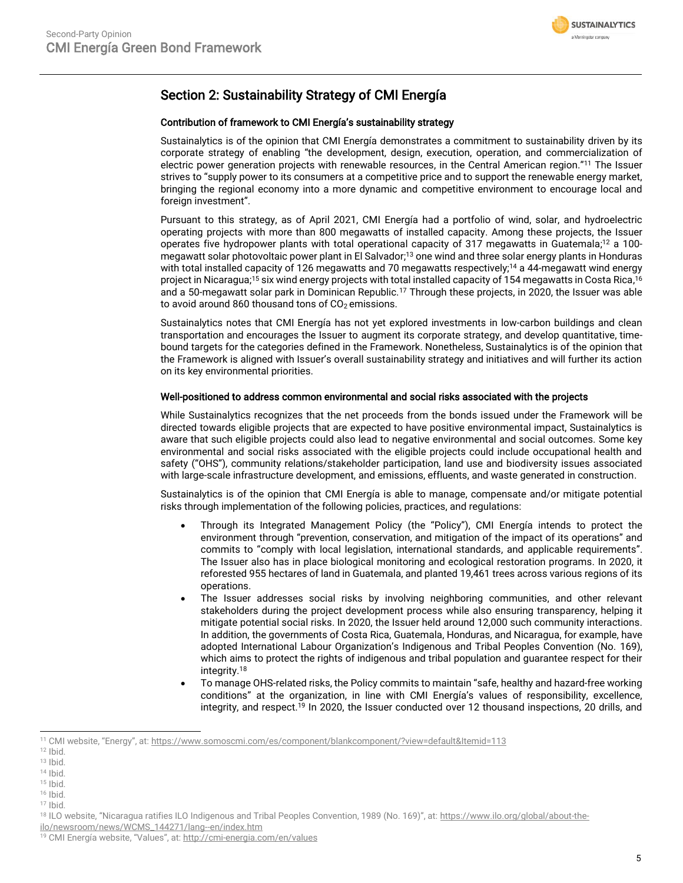

## Section 2: Sustainability Strategy of CMI Energía

#### Contribution of framework to CMI Energía's sustainability strategy

Sustainalytics is of the opinion that CMI Energía demonstrates a commitment to sustainability driven by its corporate strategy of enabling "the development, design, execution, operation, and commercialization of electric power generation projects with renewable resources, in the Central American region." <sup>11</sup> The Issuer strives to "supply power to its consumers at a competitive price and to support the renewable energy market, bringing the regional economy into a more dynamic and competitive environment to encourage local and foreign investment".

Pursuant to this strategy, as of April 2021, CMI Energía had a portfolio of wind, solar, and hydroelectric operating projects with more than 800 megawatts of installed capacity. Among these projects, the Issuer operates five hydropower plants with total operational capacity of 317 megawatts in Guatemala; <sup>12</sup> a 100 megawatt solar photovoltaic power plant in El Salvador; <sup>13</sup> one wind and three solar energy plants in Honduras with total installed capacity of 126 megawatts and 70 megawatts respectively;<sup>14</sup> a 44-megawatt wind energy project in Nicaragua;<sup>15</sup> six wind energy projects with total installed capacity of 154 megawatts in Costa Rica, 16 and a 50-megawatt solar park in Dominican Republic.<sup>17</sup> Through these projects, in 2020, the Issuer was able to avoid around 860 thousand tons of  $CO<sub>2</sub>$  emissions.

Sustainalytics notes that CMI Energía has not yet explored investments in low-carbon buildings and clean transportation and encourages the Issuer to augment its corporate strategy, and develop quantitative, timebound targets for the categories defined in the Framework. Nonetheless, Sustainalytics is of the opinion that the Framework is aligned with Issuer's overall sustainability strategy and initiatives and will further its action on its key environmental priorities.

#### Well-positioned to address common environmental and social risks associated with the projects

While Sustainalytics recognizes that the net proceeds from the bonds issued under the Framework will be directed towards eligible projects that are expected to have positive environmental impact, Sustainalytics is aware that such eligible projects could also lead to negative environmental and social outcomes. Some key environmental and social risks associated with the eligible projects could include occupational health and safety ("OHS"), community relations/stakeholder participation, land use and biodiversity issues associated with large-scale infrastructure development, and emissions, effluents, and waste generated in construction.

Sustainalytics is of the opinion that CMI Energía is able to manage, compensate and/or mitigate potential risks through implementation of the following policies, practices, and regulations:

- Through its Integrated Management Policy (the "Policy"), CMI Energía intends to protect the environment through "prevention, conservation, and mitigation of the impact of its operations" and commits to "comply with local legislation, international standards, and applicable requirements". The Issuer also has in place biological monitoring and ecological restoration programs. In 2020, it reforested 955 hectares of land in Guatemala, and planted 19,461 trees across various regions of its operations.
- The Issuer addresses social risks by involving neighboring communities, and other relevant stakeholders during the project development process while also ensuring transparency, helping it mitigate potential social risks. In 2020, the Issuer held around 12,000 such community interactions. In addition, the governments of Costa Rica, Guatemala, Honduras, and Nicaragua, for example, have adopted International Labour Organization's Indigenous and Tribal Peoples Convention (No. 169), which aims to protect the rights of indigenous and tribal population and guarantee respect for their integrity.<sup>18</sup>
- To manage OHS-related risks, the Policy commits to maintain "safe, healthy and hazard-free working conditions" at the organization, in line with CMI Energía's values of responsibility, excellence, integrity, and respect. <sup>19</sup> In 2020, the Issuer conducted over 12 thousand inspections, 20 drills, and

- $15$  Ibid.
- <sup>16</sup> Ibid.

<sup>11</sup> CMI website, "Energy", at: <https://www.somoscmi.com/es/component/blankcomponent/?view=default&Itemid=113>

 $12$  Ibid.

 $13$  Ibid.

<sup>14</sup> Ibid.

<sup>17</sup> Ibid.

<sup>18</sup> ILO website, "Nicaragua ratifies ILO Indigenous and Tribal Peoples Convention, 1989 (No. 169)", at: [https://www.ilo.org/global/about-the-](https://www.ilo.org/global/about-the-ilo/newsroom/news/WCMS_144271/lang--en/index.htm)

[ilo/newsroom/news/WCMS\\_144271/lang--en/index.htm](https://www.ilo.org/global/about-the-ilo/newsroom/news/WCMS_144271/lang--en/index.htm)

<sup>&</sup>lt;sup>19</sup> CMI Energía website, "Values", at: <http://cmi-energia.com/en/values>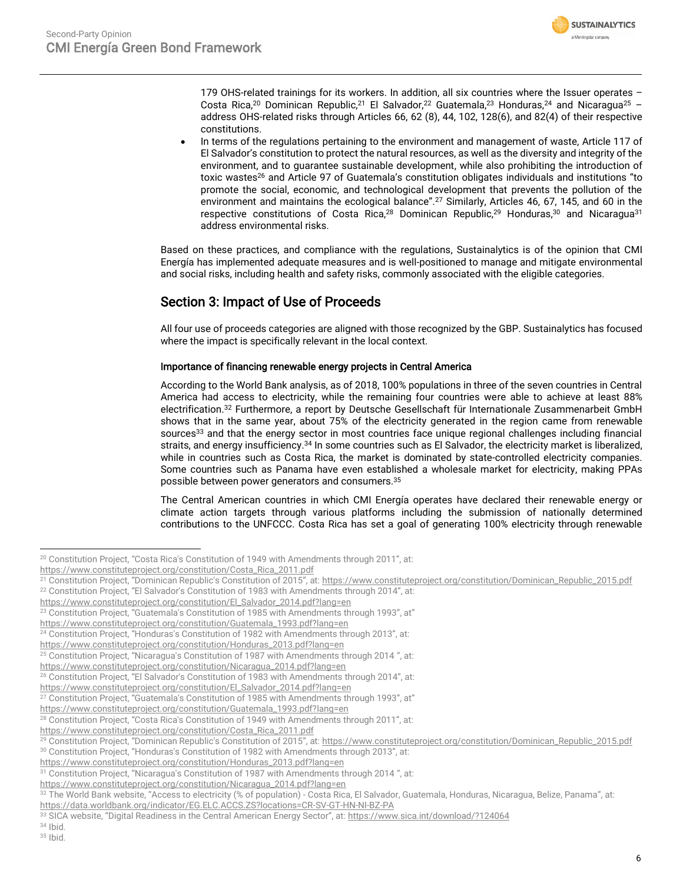

179 OHS-related trainings for its workers. In addition, all six countries where the Issuer operates -Costa Rica,<sup>20</sup> Dominican Republic,<sup>21</sup> El Salvador,<sup>22</sup> Guatemala,<sup>23</sup> Honduras,<sup>24</sup> and Nicaragua<sup>25</sup> address OHS-related risks through Articles 66, 62 (8), 44, 102, 128(6), and 82(4) of their respective constitutions.

• In terms of the regulations pertaining to the environment and management of waste, Article 117 of El Salvador's constitution to protect the natural resources, as well as the diversity and integrity of the environment, and to guarantee sustainable development, while also prohibiting the introduction of toxic wastes<sup>26</sup> and Article 97 of Guatemala's constitution obligates individuals and institutions "to promote the social, economic, and technological development that prevents the pollution of the environment and maintains the ecological balance".<sup>27</sup> Similarly, Articles 46, 67, 145, and 60 in the respective constitutions of Costa Rica,<sup>28</sup> Dominican Republic,<sup>29</sup> Honduras,<sup>30</sup> and Nicaragua<sup>31</sup> address environmental risks.

Based on these practices, and compliance with the regulations, Sustainalytics is of the opinion that CMI Energía has implemented adequate measures and is well-positioned to manage and mitigate environmental and social risks, including health and safety risks, commonly associated with the eligible categories.

## Section 3: Impact of Use of Proceeds

All four use of proceeds categories are aligned with those recognized by the GBP. Sustainalytics has focused where the impact is specifically relevant in the local context.

### Importance of financing renewable energy projects in Central America

According to the World Bank analysis, as of 2018, 100% populations in three of the seven countries in Central America had access to electricity, while the remaining four countries were able to achieve at least 88% electrification.<sup>32</sup> Furthermore, a report by Deutsche Gesellschaft für Internationale Zusammenarbeit GmbH shows that in the same year, about 75% of the electricity generated in the region came from renewable sources<sup>33</sup> and that the energy sector in most countries face unique regional challenges including financial straits, and energy insufficiency.<sup>34</sup> In some countries such as El Salvador, the electricity market is liberalized, while in countries such as Costa Rica, the market is dominated by state-controlled electricity companies. Some countries such as Panama have even established a wholesale market for electricity, making PPAs possible between power generators and consumers.<sup>35</sup>

The Central American countries in which CMI Energía operates have declared their renewable energy or climate action targets through various platforms including the submission of nationally determined contributions to the UNFCCC. Costa Rica has set a goal of generating 100% electricity through renewable

[https://www.constituteproject.org/constitution/Nicaragua\\_2014.pdf?lang=en](https://www.constituteproject.org/constitution/Nicaragua_2014.pdf?lang=en)

<sup>34</sup> Ibid. <sup>35</sup> Ibid.

<sup>&</sup>lt;sup>20</sup> Constitution Project, "Costa Rica's Constitution of 1949 with Amendments through 2011", at:

[https://www.constituteproject.org/constitution/Costa\\_Rica\\_2011.pdf](https://www.constituteproject.org/constitution/Costa_Rica_2011.pdf)

<sup>21</sup> Constitution Project, "Dominican Republic's Constitution of 2015", at: [https://www.constituteproject.org/constitution/Dominican\\_Republic\\_2015.pdf](https://www.constituteproject.org/constitution/Dominican_Republic_2015.pdf)

<sup>&</sup>lt;sup>22</sup> Constitution Project, "El Salvador's Constitution of 1983 with Amendments through 2014", at:

[https://www.constituteproject.org/constitution/El\\_Salvador\\_2014.pdf?lang=en](https://www.constituteproject.org/constitution/El_Salvador_2014.pdf?lang=en)

<sup>&</sup>lt;sup>23</sup> Constitution Project, "Guatemala's Constitution of 1985 with Amendments through 1993", at"

[https://www.constituteproject.org/constitution/Guatemala\\_1993.pdf?lang=en](https://www.constituteproject.org/constitution/Guatemala_1993.pdf?lang=en)

<sup>&</sup>lt;sup>24</sup> Constitution Project, "Honduras's Constitution of 1982 with Amendments through 2013", at:

[https://www.constituteproject.org/constitution/Honduras\\_2013.pdf?lang=en](https://www.constituteproject.org/constitution/Honduras_2013.pdf?lang=en)

<sup>&</sup>lt;sup>25</sup> Constitution Project, "Nicaragua's Constitution of 1987 with Amendments through 2014 ", at:

[https://www.constituteproject.org/constitution/Nicaragua\\_2014.pdf?lang=en](https://www.constituteproject.org/constitution/Nicaragua_2014.pdf?lang=en)

<sup>&</sup>lt;sup>26</sup> Constitution Project, "El Salvador's Constitution of 1983 with Amendments through 2014", at:

[https://www.constituteproject.org/constitution/El\\_Salvador\\_2014.pdf?lang=en](https://www.constituteproject.org/constitution/El_Salvador_2014.pdf?lang=en)

<sup>&</sup>lt;sup>27</sup> Constitution Project, "Guatemala's Constitution of 1985 with Amendments through 1993", at"

[https://www.constituteproject.org/constitution/Guatemala\\_1993.pdf?lang=en](https://www.constituteproject.org/constitution/Guatemala_1993.pdf?lang=en)

 $28$  Constitution Project, "Costa Rica's Constitution of 1949 with Amendments through 2011", at:

[https://www.constituteproject.org/constitution/Costa\\_Rica\\_2011.pdf](https://www.constituteproject.org/constitution/Costa_Rica_2011.pdf)

<sup>&</sup>lt;sup>29</sup> Constitution Project, "Dominican Republic's Constitution of 2015", at: [https://www.constituteproject.org/constitution/Dominican\\_Republic\\_2015.pdf](https://www.constituteproject.org/constitution/Dominican_Republic_2015.pdf) <sup>30</sup> Constitution Project, "Honduras's Constitution of 1982 with Amendments through 2013", at:

[https://www.constituteproject.org/constitution/Honduras\\_2013.pdf?lang=en](https://www.constituteproject.org/constitution/Honduras_2013.pdf?lang=en)

<sup>31</sup> Constitution Project, "Nicaragua's Constitution of 1987 with Amendments through 2014 ", at:

<sup>32</sup> The World Bank website, "Access to electricity (% of population) - Costa Rica, El Salvador, Guatemala, Honduras, Nicaragua, Belize, Panama", at: <https://data.worldbank.org/indicator/EG.ELC.ACCS.ZS?locations=CR-SV-GT-HN-NI-BZ-PA>

<sup>33</sup> SICA website, "Digital Readiness in the Central American Energy Sector", at: <https://www.sica.int/download/?124064>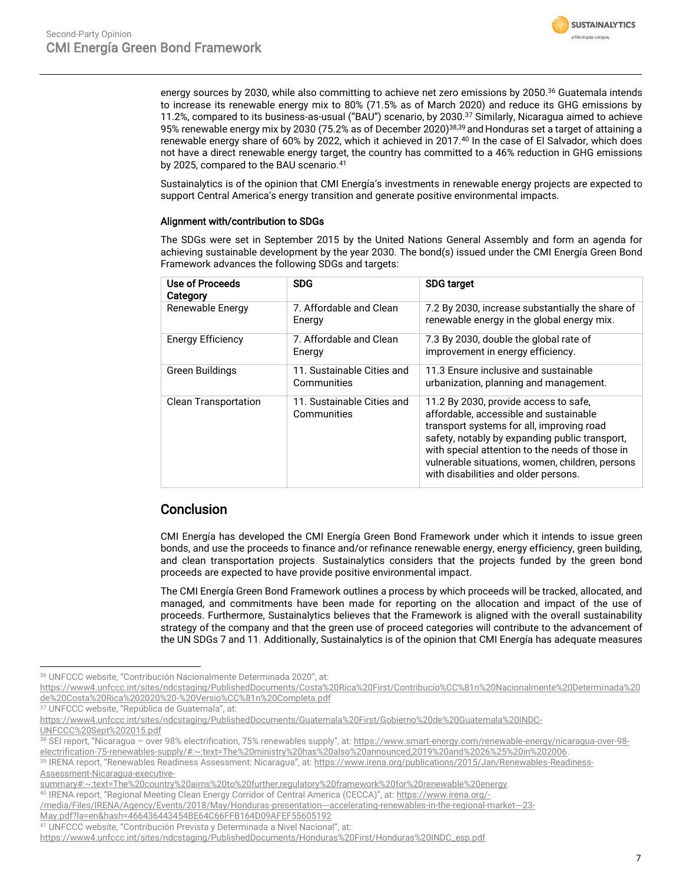

energy sources by 2030, while also committing to achieve net zero emissions by 2050. <sup>36</sup> Guatemala intends to increase its renewable energy mix to 80% (71.5% as of March 2020) and reduce its GHG emissions by 11.2%, compared to its business-as-usual ("BAU") scenario, by 2030.<sup>37</sup> Similarly, Nicaragua aimed to achieve 95% renewable energy mix by 2030 (75.2% as of December 2020)<sup>38,39</sup> and Honduras set a target of attaining a renewable energy share of 60% by 2022, which it achieved in 2017.<sup>40</sup> In the case of El Salvador, which does not have a direct renewable energy target, the country has committed to a 46% reduction in GHG emissions by 2025, compared to the BAU scenario. 41

Sustainalytics is of the opinion that CMI Energía's investments in renewable energy projects are expected to support Central America's energy transition and generate positive environmental impacts.

#### Alignment with/contribution to SDGs

The SDGs were set in September 2015 by the United Nations General Assembly and form an agenda for achieving sustainable development by the year 2030. The bond(s) issued under the CMI Energía Green Bond Framework advances the following SDGs and targets:

| Use of Proceeds<br>Category | <b>SDG</b>                                | <b>SDG target</b>                                                                                                                                                                                                                                                                                                            |
|-----------------------------|-------------------------------------------|------------------------------------------------------------------------------------------------------------------------------------------------------------------------------------------------------------------------------------------------------------------------------------------------------------------------------|
| Renewable Energy            | 7. Affordable and Clean<br>Energy         | 7.2 By 2030, increase substantially the share of<br>renewable energy in the global energy mix.                                                                                                                                                                                                                               |
| <b>Energy Efficiency</b>    | 7. Affordable and Clean<br>Energy         | 7.3 By 2030, double the global rate of<br>improvement in energy efficiency.                                                                                                                                                                                                                                                  |
| Green Buildings             | 11. Sustainable Cities and<br>Communities | 11.3 Ensure inclusive and sustainable<br>urbanization, planning and management.                                                                                                                                                                                                                                              |
| <b>Clean Transportation</b> | 11. Sustainable Cities and<br>Communities | 11.2 By 2030, provide access to safe,<br>affordable, accessible and sustainable<br>transport systems for all, improving road<br>safety, notably by expanding public transport,<br>with special attention to the needs of those in<br>vulnerable situations, women, children, persons<br>with disabilities and older persons. |

## Conclusion

CMI Energía has developed the CMI Energía Green Bond Framework under which it intends to issue green bonds, and use the proceeds to finance and/or refinance renewable energy, energy efficiency, green building, and clean transportation projects. Sustainalytics considers that the projects funded by the green bond proceeds are expected to have provide positive environmental impact.

The CMI Energía Green Bond Framework outlines a process by which proceeds will be tracked, allocated, and managed, and commitments have been made for reporting on the allocation and impact of the use of proceeds. Furthermore, Sustainalytics believes that the Framework is aligned with the overall sustainability strategy of the company and that the green use of proceed categories will contribute to the advancement of the UN SDGs 7 and 11. Additionally, Sustainalytics is of the opinion that CMI Energía has adequate measures

<sup>36</sup> UNFCCC website, "Contribución Nacionalmente Determinada 2020", at:

[https://www4.unfccc.int/sites/ndcstaging/PublishedDocuments/Costa%20Rica%20First/Contribucio%CC%81n%20Nacionalmente%20Determinada%20](https://www4.unfccc.int/sites/ndcstaging/PublishedDocuments/Costa%20Rica%20First/Contribucio%CC%81n%20Nacionalmente%20Determinada%20de%20Costa%20Rica%202020%20-%20Versio%CC%81n%20Completa.pdf) [de%20Costa%20Rica%202020%20-%20Versio%CC%81n%20Completa.pdf](https://www4.unfccc.int/sites/ndcstaging/PublishedDocuments/Costa%20Rica%20First/Contribucio%CC%81n%20Nacionalmente%20Determinada%20de%20Costa%20Rica%202020%20-%20Versio%CC%81n%20Completa.pdf)

<sup>37</sup> UNFCCC website, "República de Guatemala", at:

[https://www4.unfccc.int/sites/ndcstaging/PublishedDocuments/Guatemala%20First/Gobierno%20de%20Guatemala%20INDC-](https://www4.unfccc.int/sites/ndcstaging/PublishedDocuments/Guatemala%20First/Gobierno%20de%20Guatemala%20INDC-UNFCCC%20Sept%202015.pdf)[UNFCCC%20Sept%202015.pdf](https://www4.unfccc.int/sites/ndcstaging/PublishedDocuments/Guatemala%20First/Gobierno%20de%20Guatemala%20INDC-UNFCCC%20Sept%202015.pdf)

<sup>38</sup> SEI report, "Nicaragua - over 98% electrification, 75% renewables supply", at: [https://www.smart-energy.com/renewable-energy/nicaragua-over-98](https://www.smart-energy.com/renewable-energy/nicaragua-over-98-electrification-75-renewables-supply/#:~:text=The%20ministry%20has%20also%20announced,2019%20and%2026%25%20in%202006) [electrification-75-renewables-supply/#:~:text=The%20ministry%20has%20also%20announced,2019%20and%2026%25%20in%202006.](https://www.smart-energy.com/renewable-energy/nicaragua-over-98-electrification-75-renewables-supply/#:~:text=The%20ministry%20has%20also%20announced,2019%20and%2026%25%20in%202006) 

<sup>39</sup> IRENA report, "Renewables Readiness Assessment: Nicaragua", at: [https://www.irena.org/publications/2015/Jan/Renewables-Readiness-](https://www.irena.org/publications/2015/Jan/Renewables-Readiness-Assessment-Nicaragua-executive-summary#:~:text=The%20country%20aims%20to%20further,regulatory%20framework%20for%20renewable%20energy)[Assessment-Nicaragua-executive-](https://www.irena.org/publications/2015/Jan/Renewables-Readiness-Assessment-Nicaragua-executive-summary#:~:text=The%20country%20aims%20to%20further,regulatory%20framework%20for%20renewable%20energy)

[summary#:~:text=The%20country%20aims%20to%20further,regulatory%20framework%20for%20renewable%20energy.](https://www.irena.org/publications/2015/Jan/Renewables-Readiness-Assessment-Nicaragua-executive-summary#:~:text=The%20country%20aims%20to%20further,regulatory%20framework%20for%20renewable%20energy)

<sup>40</sup> IRENA report, "Regional Meeting Clean Energy Corridor of Central America (CECCA)", at: [https://www.irena.org/-](https://www.irena.org/-/media/Files/IRENA/Agency/Events/2018/May/Honduras-presentation---accelerating-renewables-in-the-regional-market---23-May.pdf?la=en&hash=466436443454BE64C66FFB164D09AFEF55605192)

<sup>/</sup>media/Files/IRENA/Agency/Events/2018/May/Honduras-presentation--accelerating-renewables-in-the-regional-market--23-

[May.pdf?la=en&hash=466436443454BE64C66FFB164D09AFEF55605192](https://www.irena.org/-/media/Files/IRENA/Agency/Events/2018/May/Honduras-presentation---accelerating-renewables-in-the-regional-market---23-May.pdf?la=en&hash=466436443454BE64C66FFB164D09AFEF55605192)

<sup>41</sup> UNFCCC website, "Contribución Prevista y Determinada a Nivel Nacional", at:

[https://www4.unfccc.int/sites/ndcstaging/PublishedDocuments/Honduras%20First/Honduras%20INDC\\_esp.pdf](https://www4.unfccc.int/sites/ndcstaging/PublishedDocuments/Honduras%20First/Honduras%20INDC_esp.pdf)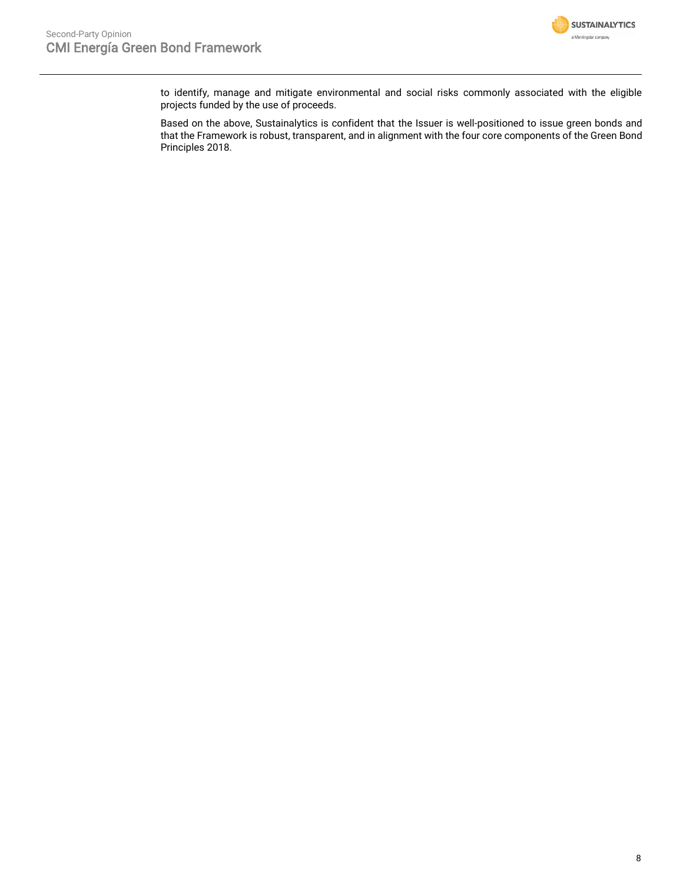

to identify, manage and mitigate environmental and social risks commonly associated with the eligible projects funded by the use of proceeds.

Based on the above, Sustainalytics is confident that the Issuer is well-positioned to issue green bonds and that the Framework is robust, transparent, and in alignment with the four core components of the Green Bond Principles 2018.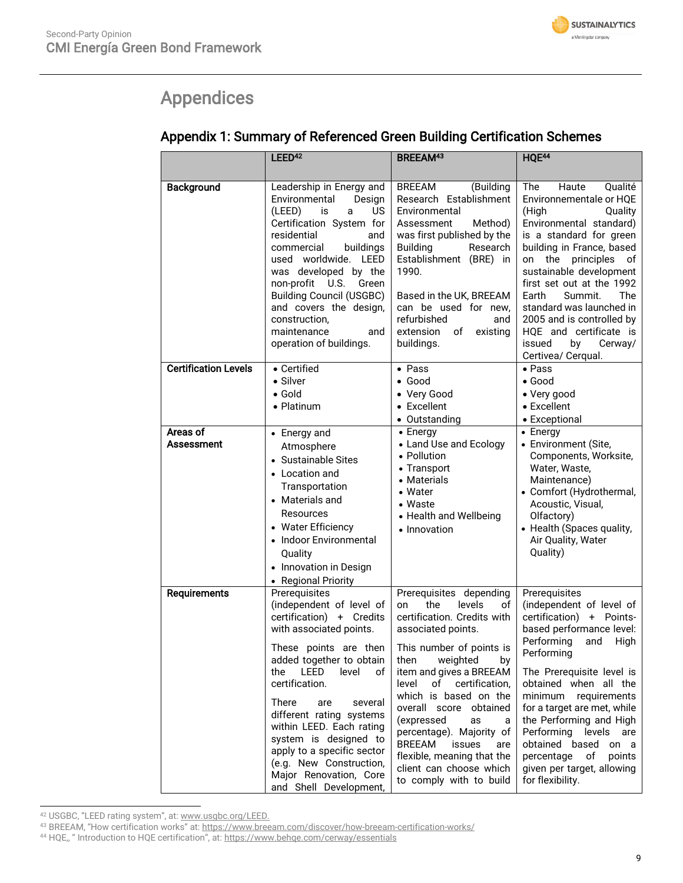# <span id="page-8-0"></span>Appendices

## Appendix 1: Summary of Referenced Green Building Certification Schemes

|                             | LEED <sup>42</sup>                                                                                                                                                                                                                                                                                                                                                                                                             | <b>BREEAM43</b>                                                                                                                                                                                                                                                                                                                                                                                                                              | HQE <sup>44</sup>                                                                                                                                                                                                                                                                                                                                                                                                 |
|-----------------------------|--------------------------------------------------------------------------------------------------------------------------------------------------------------------------------------------------------------------------------------------------------------------------------------------------------------------------------------------------------------------------------------------------------------------------------|----------------------------------------------------------------------------------------------------------------------------------------------------------------------------------------------------------------------------------------------------------------------------------------------------------------------------------------------------------------------------------------------------------------------------------------------|-------------------------------------------------------------------------------------------------------------------------------------------------------------------------------------------------------------------------------------------------------------------------------------------------------------------------------------------------------------------------------------------------------------------|
|                             |                                                                                                                                                                                                                                                                                                                                                                                                                                |                                                                                                                                                                                                                                                                                                                                                                                                                                              |                                                                                                                                                                                                                                                                                                                                                                                                                   |
| <b>Background</b>           | Leadership in Energy and<br>Environmental<br>Design<br>(LEED)<br>is<br>US<br>a<br>Certification System for<br>residential<br>and<br>buildings<br>commercial<br>used worldwide. LEED<br>was developed by the<br>non-profit<br>U.S.<br>Green<br><b>Building Council (USGBC)</b><br>and covers the design,<br>construction,<br>maintenance<br>and<br>operation of buildings.                                                      | <b>BREEAM</b><br>(Building<br>Research Establishment<br>Environmental<br>Method)<br>Assessment<br>was first published by the<br><b>Building</b><br>Research<br>Establishment (BRE) in<br>1990.<br>Based in the UK, BREEAM<br>can be used for new,<br>refurbished<br>and<br>extension<br>existing<br>of<br>buildings.                                                                                                                         | Haute<br>Qualité<br>The<br>Environnementale or HQE<br>(High<br>Quality<br>Environmental standard)<br>is a standard for green<br>building in France, based<br>principles<br>on<br>the<br>οf<br>sustainable development<br>first set out at the 1992<br>The<br>Earth<br>Summit.<br>standard was launched in<br>2005 and is controlled by<br>HQE and certificate is<br>issued<br>by<br>Cerway/<br>Certivea/ Cerqual. |
| <b>Certification Levels</b> | • Certified<br>• Silver<br>$\bullet$ Gold<br>• Platinum                                                                                                                                                                                                                                                                                                                                                                        | $\bullet$ Pass<br>$\bullet$ Good<br>• Very Good<br>• Excellent<br>• Outstanding                                                                                                                                                                                                                                                                                                                                                              | $\bullet$ Pass<br>$\bullet$ Good<br>• Very good<br>• Excellent<br>• Exceptional                                                                                                                                                                                                                                                                                                                                   |
| Areas of<br>Assessment      | • Energy and<br>Atmosphere<br>• Sustainable Sites<br>• Location and<br>Transportation<br>• Materials and<br>Resources<br>• Water Efficiency<br>• Indoor Environmental<br>Quality<br>• Innovation in Design<br>• Regional Priority                                                                                                                                                                                              | $\bullet$ Energy<br>• Land Use and Ecology<br>• Pollution<br>• Transport<br>• Materials<br>• Water<br>• Waste<br>• Health and Wellbeing<br>• Innovation                                                                                                                                                                                                                                                                                      | $\bullet$ Energy<br>• Environment (Site,<br>Components, Worksite,<br>Water, Waste,<br>Maintenance)<br>• Comfort (Hydrothermal,<br>Acoustic, Visual,<br>Olfactory)<br>• Health (Spaces quality,<br>Air Quality, Water<br>Quality)                                                                                                                                                                                  |
| <b>Requirements</b>         | Prerequisites<br>(independent of level of<br>certification) + Credits<br>with associated points.<br>These points are then<br>added together to obtain<br>LEED<br>level<br>the<br>οf<br>certification.<br>There<br>are<br>several<br>different rating systems<br>within LEED. Each rating<br>system is designed to<br>apply to a specific sector<br>(e.g. New Construction,<br>Major Renovation, Core<br>and Shell Development, | Prerequisites depending<br>the<br>levels<br>on<br>of<br>certification. Credits with<br>associated points.<br>This number of points is<br>then weighted<br>by<br>item and gives a BREEAM<br>level<br>of certification,<br>which is based on the<br>overall score obtained<br>(expressed<br>as<br>a<br>percentage). Majority of<br>BREEAM<br>issues<br>are<br>flexible, meaning that the<br>client can choose which<br>to comply with to build | Prerequisites<br>(independent of level of<br>certification)<br>+ Points-<br>based performance level:<br>Performing<br>and<br>High<br>Performing<br>The Prerequisite level is<br>obtained when all the<br>minimum requirements<br>for a target are met, while<br>the Performing and High<br>Performing levels are<br>obtained based on a<br>percentage of points<br>given per target, allowing<br>for flexibility. |

<sup>42</sup> USGBC, "LEED rating system", at: [www.usgbc.org/LEED.](http://www.usgbc.org/LEED)

<sup>&</sup>lt;sup>43</sup> BREEAM, "How certification works" at: <https://www.breeam.com/discover/how-breeam-certification-works/>

<sup>&</sup>lt;sup>44</sup> HQE,, " Introduction to HQE certification", at: <https://www.behqe.com/cerway/essentials>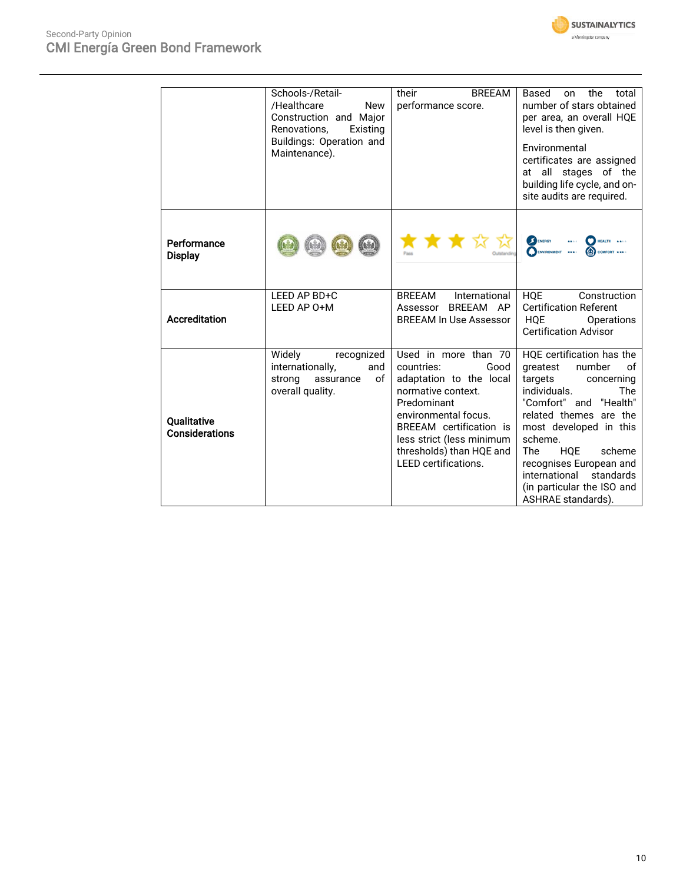

|                               | Schools-/Retail-<br>/Healthcare<br><b>New</b><br>Construction and Major<br>Renovations,<br>Existing<br>Buildings: Operation and<br>Maintenance). | their<br><b>BREEAM</b><br>performance score.                                                                                                                                                                                                          | Based<br>the<br>total<br>on<br>number of stars obtained<br>per area, an overall HQE<br>level is then given.<br>Environmental<br>certificates are assigned<br>at all stages of the<br>building life cycle, and on-<br>site audits are required.                                                                                                              |
|-------------------------------|--------------------------------------------------------------------------------------------------------------------------------------------------|-------------------------------------------------------------------------------------------------------------------------------------------------------------------------------------------------------------------------------------------------------|-------------------------------------------------------------------------------------------------------------------------------------------------------------------------------------------------------------------------------------------------------------------------------------------------------------------------------------------------------------|
| Performance<br><b>Display</b> |                                                                                                                                                  | K K K ™                                                                                                                                                                                                                                               | <b>I</b> ENERGY<br>HEALTH<br>COMFORT                                                                                                                                                                                                                                                                                                                        |
| <b>Accreditation</b>          | LEED AP BD+C<br>LEED AP 0+M                                                                                                                      | <b>BREEAM</b><br>International<br>BREEAM AP<br>Assessor<br><b>BREEAM In Use Assessor</b>                                                                                                                                                              | <b>HQE</b><br>Construction<br><b>Certification Referent</b><br><b>HQE</b><br>Operations<br><b>Certification Advisor</b>                                                                                                                                                                                                                                     |
| Qualitative<br>Considerations | Widely<br>recognized<br>internationally,<br>and<br>οf<br>strong<br>assurance<br>overall quality.                                                 | Used in more than 70<br>Good<br>countries:<br>adaptation to the local<br>normative context.<br>Predominant<br>environmental focus.<br>BREEAM certification is<br>less strict (less minimum<br>thresholds) than HQE and<br><b>LEED</b> certifications. | HQE certification has the<br>number<br>greatest<br>οf<br>targets<br>concerning<br>individuals.<br><b>The</b><br>"Comfort" and<br>"Health"<br>related themes are the<br>most developed in this<br>scheme.<br><b>HQE</b><br><b>The</b><br>scheme<br>recognises European and<br>international<br>standards<br>(in particular the ISO and<br>ASHRAE standards). |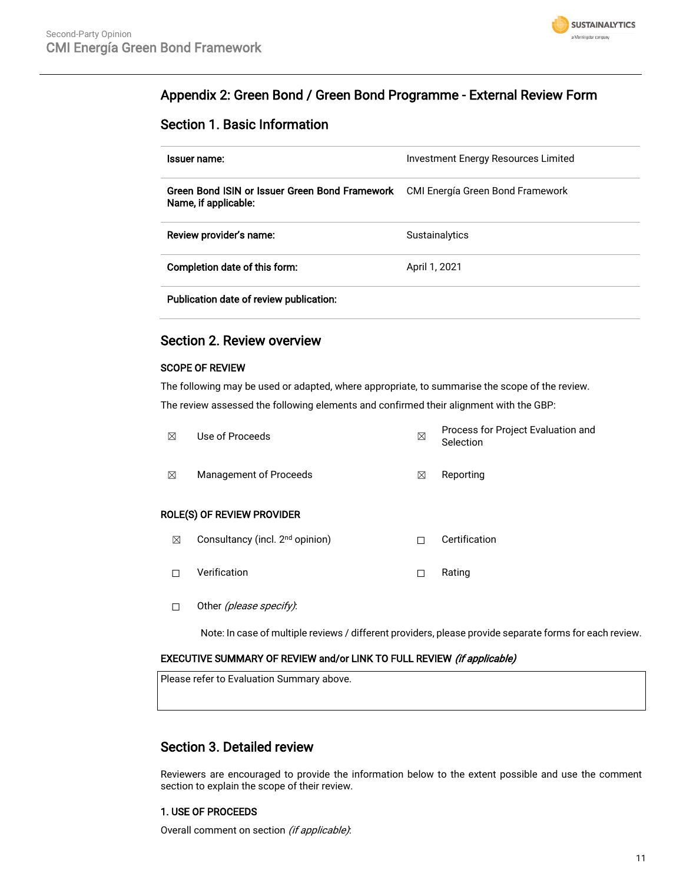

## Appendix 2: Green Bond / Green Bond Programme - External Review Form

## Section 1. Basic Information

| Issuer name:                                                           | Investment Energy Resources Limited |
|------------------------------------------------------------------------|-------------------------------------|
| Green Bond ISIN or Issuer Green Bond Framework<br>Name, if applicable: | CMI Energía Green Bond Framework    |
| Review provider's name:                                                | <b>Sustainalytics</b>               |
| Completion date of this form:                                          | April 1, 2021                       |
| Publication date of review publication:                                |                                     |

## Section 2. Review overview

#### SCOPE OF REVIEW

The following may be used or adapted, where appropriate, to summarise the scope of the review. The review assessed the following elements and confirmed their alignment with the GBP:

| ⊠ | Use of Proceeds                             | ⊠ | Process for Project Evaluation and<br>Selection |
|---|---------------------------------------------|---|-------------------------------------------------|
| ⊠ | Management of Proceeds                      | X | Reporting                                       |
|   | ROLE(S) OF REVIEW PROVIDER                  |   |                                                 |
| ⊠ | Consultancy (incl. 2 <sup>nd</sup> opinion) |   | Certification                                   |

☐ Verification ☐ Rating

- 
- □ Other (please specify):

Note: In case of multiple reviews / different providers, please provide separate forms for each review.

#### EXECUTIVE SUMMARY OF REVIEW and/or LINK TO FULL REVIEW (if applicable)

Please refer to Evaluation Summary above.

## Section 3. Detailed review

Reviewers are encouraged to provide the information below to the extent possible and use the comment section to explain the scope of their review.

#### 1. USE OF PROCEEDS

Overall comment on section (if applicable):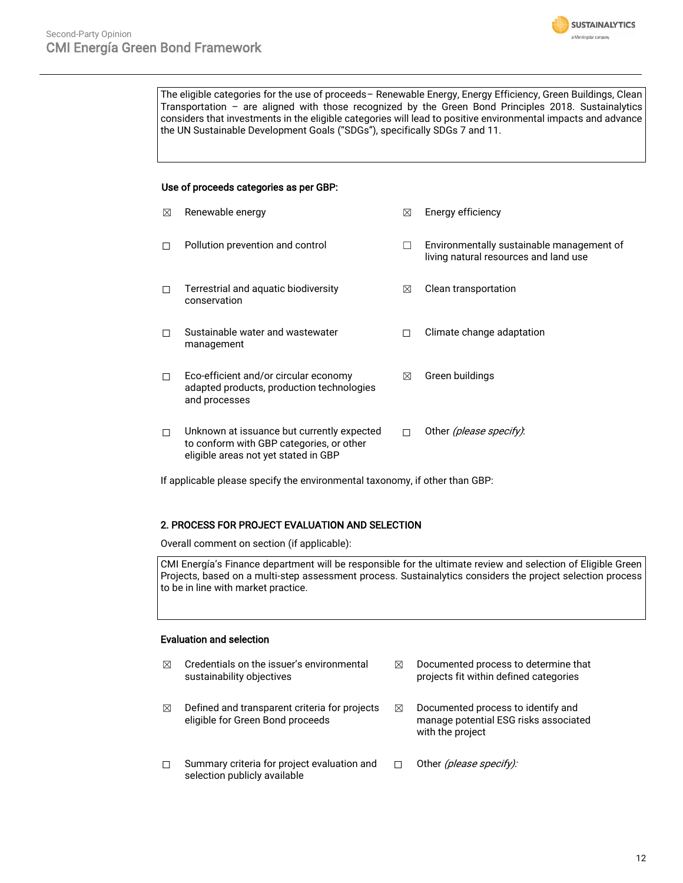

The eligible categories for the use of proceeds– Renewable Energy, Energy Efficiency, Green Buildings, Clean Transportation – are aligned with those recognized by the Green Bond Principles 2018. Sustainalytics considers that investments in the eligible categories will lead to positive environmental impacts and advance the UN Sustainable Development Goals ("SDGs"), specifically SDGs 7 and 11.

#### Use of proceeds categories as per GBP:

| ⊠ | Renewable energy                                                                                                               | ⊠ | Energy efficiency                                                                  |
|---|--------------------------------------------------------------------------------------------------------------------------------|---|------------------------------------------------------------------------------------|
| П | Pollution prevention and control                                                                                               |   | Environmentally sustainable management of<br>living natural resources and land use |
| П | Terrestrial and aquatic biodiversity<br>conservation                                                                           | ⊠ | Clean transportation                                                               |
| П | Sustainable water and wastewater<br>management                                                                                 | П | Climate change adaptation                                                          |
| П | Eco-efficient and/or circular economy<br>adapted products, production technologies<br>and processes                            | ⊠ | Green buildings                                                                    |
| П | Unknown at issuance but currently expected<br>to conform with GBP categories, or other<br>eligible areas not yet stated in GBP | П | Other (please specify):                                                            |

If applicable please specify the environmental taxonomy, if other than GBP:

#### 2. PROCESS FOR PROJECT EVALUATION AND SELECTION

Overall comment on section (if applicable):

CMI Energía's Finance department will be responsible for the ultimate review and selection of Eligible Green Projects, based on a multi-step assessment process. Sustainalytics considers the project selection process to be in line with market practice.

#### Evaluation and selection

| ⊠ | Credentials on the issuer's environmental<br>sustainability objectives            | ⊠ | Documented process to determine that<br>projects fit within defined categories                  |
|---|-----------------------------------------------------------------------------------|---|-------------------------------------------------------------------------------------------------|
| ⊠ | Defined and transparent criteria for projects<br>eligible for Green Bond proceeds | ⊠ | Documented process to identify and<br>manage potential ESG risks associated<br>with the project |
| п | Summary criteria for project evaluation and<br>selection publicly available       |   | Other (please specify):                                                                         |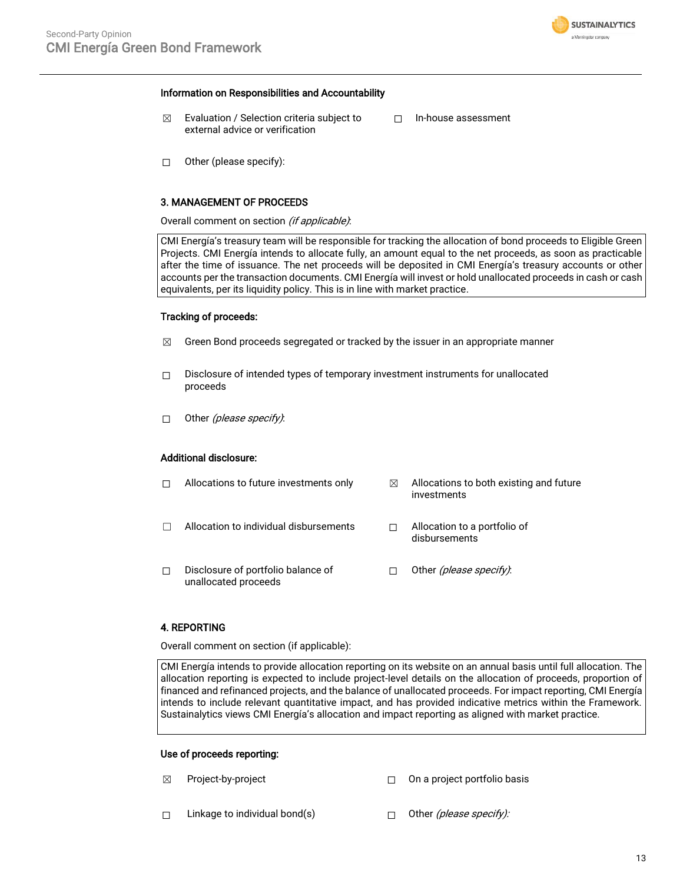

#### Information on Responsibilities and Accountability

- $\boxtimes$  Evaluation / Selection criteria subject to external advice or verification
- ☐ In-house assessment

 $\Box$  Other (please specify):

#### 3. MANAGEMENT OF PROCEEDS

Overall comment on section (if applicable):

CMI Energía's treasury team will be responsible for tracking the allocation of bond proceeds to Eligible Green Projects. CMI Energía intends to allocate fully, an amount equal to the net proceeds, as soon as practicable after the time of issuance. The net proceeds will be deposited in CMI Energía's treasury accounts or other accounts per the transaction documents. CMI Energía will invest or hold unallocated proceeds in cash or cash equivalents, per its liquidity policy. This is in line with market practice.

#### Tracking of proceeds:

- $\boxtimes$  Green Bond proceeds segregated or tracked by the issuer in an appropriate manner
- ☐ Disclosure of intended types of temporary investment instruments for unallocated proceeds
- $\Box$  Other (please specify):

#### Additional disclosure:

|   | Allocations to future investments only                     | ⊠ | Allocations to both existing and future<br>investments |
|---|------------------------------------------------------------|---|--------------------------------------------------------|
|   | Allocation to individual disbursements                     |   | Allocation to a portfolio of<br>disbursements          |
| П | Disclosure of portfolio balance of<br>unallocated proceeds |   | Other (please specify).                                |

#### 4. REPORTING

Overall comment on section (if applicable):

CMI Energía intends to provide allocation reporting on its website on an annual basis until full allocation. The allocation reporting is expected to include project-level details on the allocation of proceeds, proportion of financed and refinanced projects, and the balance of unallocated proceeds. For impact reporting, CMI Energía intends to include relevant quantitative impact, and has provided indicative metrics within the Framework. Sustainalytics views CMI Energía's allocation and impact reporting as aligned with market practice.

#### Use of proceeds reporting:

- 
- ☒ Project-by-project ☐ On a project portfolio basis
- □ Linkage to individual bond(s) □ Other (please specify):
	-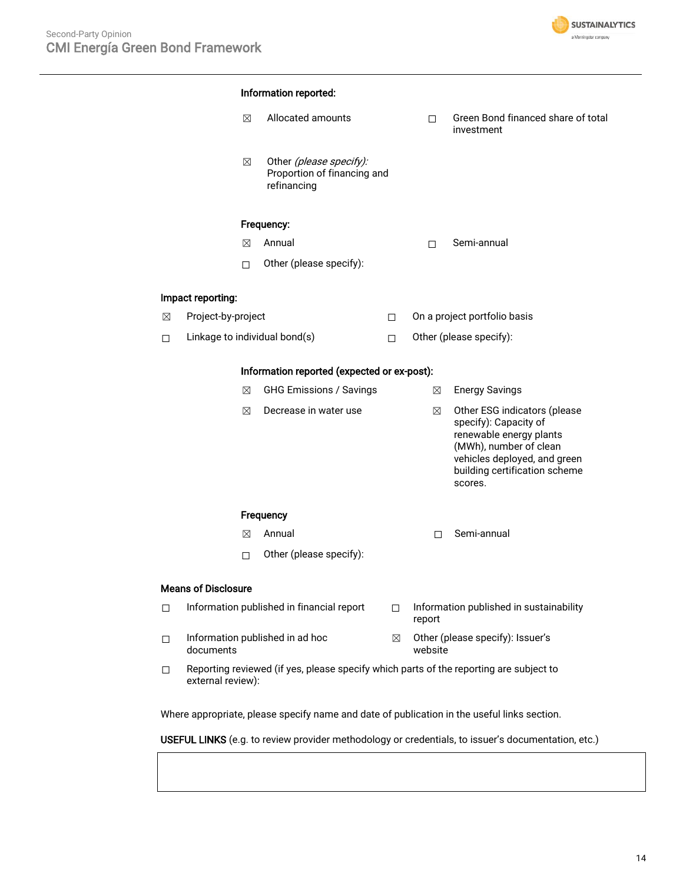

# Information reported: ☒ Allocated amounts ☐ Green Bond financed share of total investment  $\boxtimes$  Other (please specify): Proportion of financing and refinancing Frequency: ☒ Annual ☐ Semi-annual ☐ Other (please specify): Impact reporting: ☒ Project-by-project ☐ On a project portfolio basis ☐ Linkage to individual bond(s) ☐ Other (please specify): Information reported (expected or ex-post): ☒ GHG Emissions / Savings ☒ Energy Savings  $\boxtimes$  Decrease in water use  $\boxtimes$  Other ESG indicators (please specify): Capacity of renewable energy plants (MWh), number of clean vehicles deployed, and green building certification scheme scores. Frequency  $\boxtimes$  Annual  $\Box$  Semi-annual ☐ Other (please specify): Means of Disclosure ☐ Information published in financial report ☐ Information published in sustainability report ☐ Information published in ad hoc documents ☒ Other (please specify): Issuer's website ☐ Reporting reviewed (if yes, please specify which parts of the reporting are subject to external review): Where appropriate, please specify name and date of publication in the useful links section.

USEFUL LINKS (e.g. to review provider methodology or credentials, to issuer's documentation, etc.)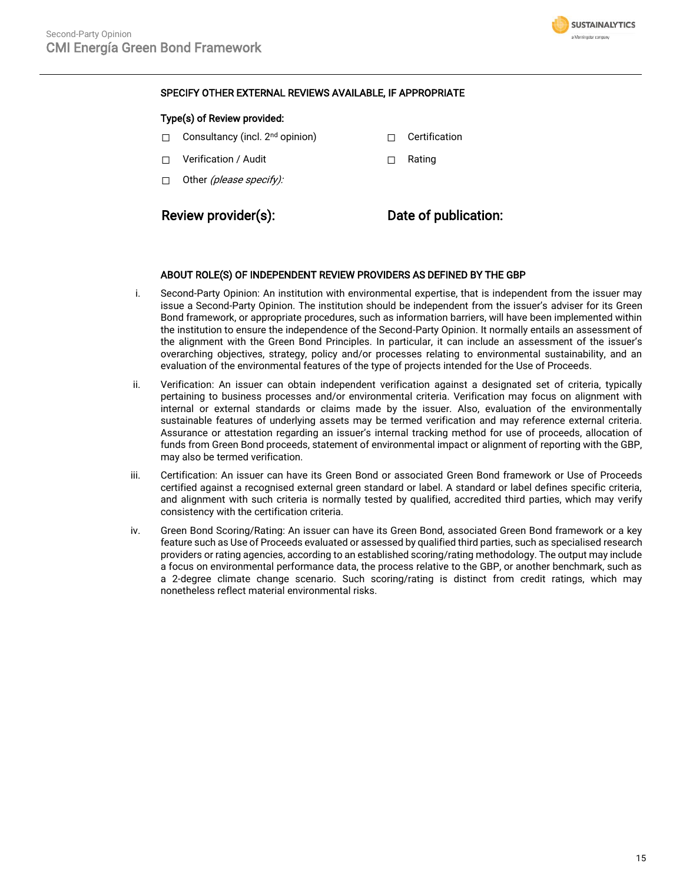

#### SPECIFY OTHER EXTERNAL REVIEWS AVAILABLE, IF APPROPRIATE

#### Type(s) of Review provided:

- □ Consultancy (incl. 2<sup>nd</sup> opinion) □ □ Certification
- ☐ Verification / Audit ☐ Rating
- $\Box$  Other (please specify):

## Review provider(s): Date of publication:

#### ABOUT ROLE(S) OF INDEPENDENT REVIEW PROVIDERS AS DEFINED BY THE GBP

- i. Second-Party Opinion: An institution with environmental expertise, that is independent from the issuer may issue a Second-Party Opinion. The institution should be independent from the issuer's adviser for its Green Bond framework, or appropriate procedures, such as information barriers, will have been implemented within the institution to ensure the independence of the Second-Party Opinion. It normally entails an assessment of the alignment with the Green Bond Principles. In particular, it can include an assessment of the issuer's overarching objectives, strategy, policy and/or processes relating to environmental sustainability, and an evaluation of the environmental features of the type of projects intended for the Use of Proceeds.
- ii. Verification: An issuer can obtain independent verification against a designated set of criteria, typically pertaining to business processes and/or environmental criteria. Verification may focus on alignment with internal or external standards or claims made by the issuer. Also, evaluation of the environmentally sustainable features of underlying assets may be termed verification and may reference external criteria. Assurance or attestation regarding an issuer's internal tracking method for use of proceeds, allocation of funds from Green Bond proceeds, statement of environmental impact or alignment of reporting with the GBP, may also be termed verification.
- iii. Certification: An issuer can have its Green Bond or associated Green Bond framework or Use of Proceeds certified against a recognised external green standard or label. A standard or label defines specific criteria, and alignment with such criteria is normally tested by qualified, accredited third parties, which may verify consistency with the certification criteria.
- iv. Green Bond Scoring/Rating: An issuer can have its Green Bond, associated Green Bond framework or a key feature such as Use of Proceeds evaluated or assessed by qualified third parties, such as specialised research providers or rating agencies, according to an established scoring/rating methodology. The output may include a focus on environmental performance data, the process relative to the GBP, or another benchmark, such as a 2-degree climate change scenario. Such scoring/rating is distinct from credit ratings, which may nonetheless reflect material environmental risks.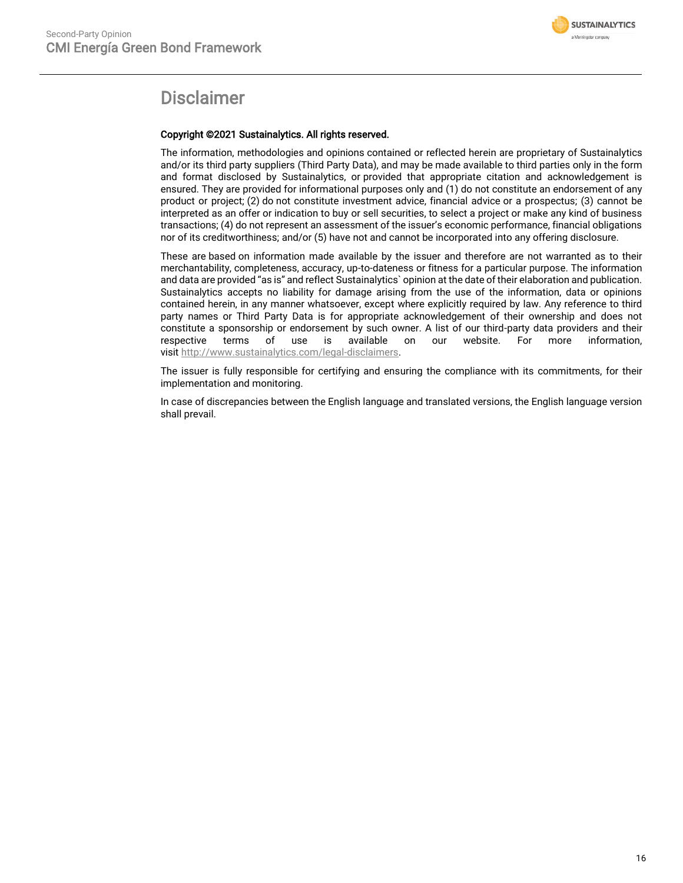

# Disclaimer

#### Copyright ©2021 Sustainalytics. All rights reserved.

The information, methodologies and opinions contained or reflected herein are proprietary of Sustainalytics and/or its third party suppliers (Third Party Data), and may be made available to third parties only in the form and format disclosed by Sustainalytics, or provided that appropriate citation and acknowledgement is ensured. They are provided for informational purposes only and (1) do not constitute an endorsement of any product or project; (2) do not constitute investment advice, financial advice or a prospectus; (3) cannot be interpreted as an offer or indication to buy or sell securities, to select a project or make any kind of business transactions; (4) do not represent an assessment of the issuer's economic performance, financial obligations nor of its creditworthiness; and/or (5) have not and cannot be incorporated into any offering disclosure.

These are based on information made available by the issuer and therefore are not warranted as to their merchantability, completeness, accuracy, up-to-dateness or fitness for a particular purpose. The information and data are provided "as is" and reflect Sustainalytics` opinion at the date of their elaboration and publication. Sustainalytics accepts no liability for damage arising from the use of the information, data or opinions contained herein, in any manner whatsoever, except where explicitly required by law. Any reference to third party names or Third Party Data is for appropriate acknowledgement of their ownership and does not constitute a sponsorship or endorsement by such owner. A list of our third-party data providers and their respective terms of use is available on our website. For more information, visit [http://www.sustainalytics.com/legal-disclaimers.](http://www.sustainalytics.com/legal-disclaimers)

The issuer is fully responsible for certifying and ensuring the compliance with its commitments, for their implementation and monitoring.

In case of discrepancies between the English language and translated versions, the English language version shall prevail.